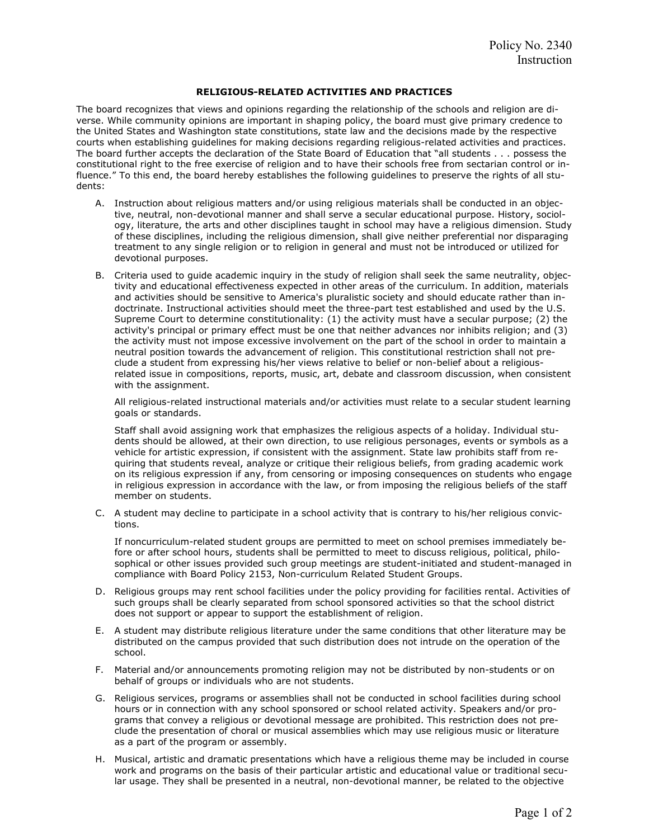## RELIGIOUS-RELATED ACTIVITIES AND PRACTICES

The board recognizes that views and opinions regarding the relationship of the schools and religion are diverse. While community opinions are important in shaping policy, the board must give primary credence to the United States and Washington state constitutions, state law and the decisions made by the respective courts when establishing guidelines for making decisions regarding religious-related activities and practices. The board further accepts the declaration of the State Board of Education that "all students . . . possess the constitutional right to the free exercise of religion and to have their schools free from sectarian control or influence." To this end, the board hereby establishes the following guidelines to preserve the rights of all students:

- A. Instruction about religious matters and/or using religious materials shall be conducted in an objective, neutral, non-devotional manner and shall serve a secular educational purpose. History, sociology, literature, the arts and other disciplines taught in school may have a religious dimension. Study of these disciplines, including the religious dimension, shall give neither preferential nor disparaging treatment to any single religion or to religion in general and must not be introduced or utilized for devotional purposes.
- B. Criteria used to guide academic inquiry in the study of religion shall seek the same neutrality, objectivity and educational effectiveness expected in other areas of the curriculum. In addition, materials and activities should be sensitive to America's pluralistic society and should educate rather than indoctrinate. Instructional activities should meet the three-part test established and used by the U.S. Supreme Court to determine constitutionality: (1) the activity must have a secular purpose; (2) the activity's principal or primary effect must be one that neither advances nor inhibits religion; and (3) the activity must not impose excessive involvement on the part of the school in order to maintain a neutral position towards the advancement of religion. This constitutional restriction shall not preclude a student from expressing his/her views relative to belief or non-belief about a religiousrelated issue in compositions, reports, music, art, debate and classroom discussion, when consistent with the assignment.

All religious-related instructional materials and/or activities must relate to a secular student learning goals or standards.

Staff shall avoid assigning work that emphasizes the religious aspects of a holiday. Individual students should be allowed, at their own direction, to use religious personages, events or symbols as a vehicle for artistic expression, if consistent with the assignment. State law prohibits staff from requiring that students reveal, analyze or critique their religious beliefs, from grading academic work on its religious expression if any, from censoring or imposing consequences on students who engage in religious expression in accordance with the law, or from imposing the religious beliefs of the staff member on students.

C. A student may decline to participate in a school activity that is contrary to his/her religious convictions.

If noncurriculum-related student groups are permitted to meet on school premises immediately before or after school hours, students shall be permitted to meet to discuss religious, political, philosophical or other issues provided such group meetings are student-initiated and student-managed in compliance with Board Policy 2153, Non-curriculum Related Student Groups.

- D. Religious groups may rent school facilities under the policy providing for facilities rental. Activities of such groups shall be clearly separated from school sponsored activities so that the school district does not support or appear to support the establishment of religion.
- E. A student may distribute religious literature under the same conditions that other literature may be distributed on the campus provided that such distribution does not intrude on the operation of the school.
- F. Material and/or announcements promoting religion may not be distributed by non-students or on behalf of groups or individuals who are not students.
- G. Religious services, programs or assemblies shall not be conducted in school facilities during school hours or in connection with any school sponsored or school related activity. Speakers and/or programs that convey a religious or devotional message are prohibited. This restriction does not preclude the presentation of choral or musical assemblies which may use religious music or literature as a part of the program or assembly.
- H. Musical, artistic and dramatic presentations which have a religious theme may be included in course work and programs on the basis of their particular artistic and educational value or traditional secular usage. They shall be presented in a neutral, non-devotional manner, be related to the objective